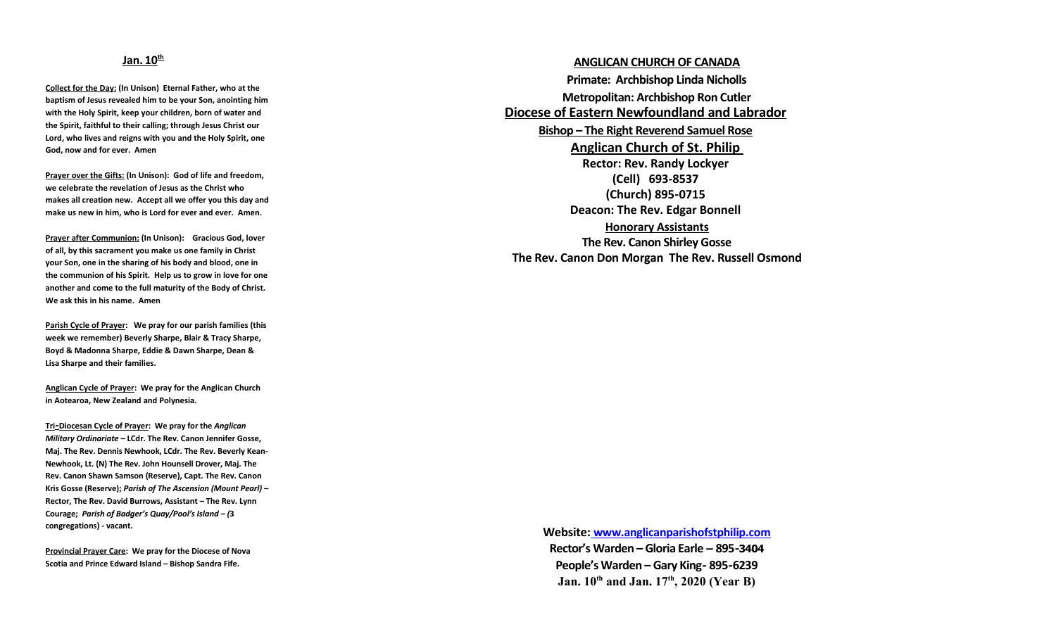## **Jan. 10th**

**Collect for the Day: (In Unison) Eternal Father, who at the baptism of Jesus revealed him to be your Son, anointing him with the Holy Spirit, keep your children, born of water and the Spirit, faithful to their calling; through Jesus Christ our Lord, who lives and reigns with you and the Holy Spirit, one God, now and for ever. Amen**

**Prayer over the Gifts: (In Unison): God of life and freedom, we celebrate the revelation of Jesus as the Christ who makes all creation new. Accept all we offer you this day and make us new in him, who is Lord for ever and ever. Amen.**

**Prayer after Communion: (In Unison): Gracious God, lover of all, by this sacrament you make us one family in Christ your Son, one in the sharing of his body and blood, one in the communion of his Spirit. Help us to grow in love for one another and come to the full maturity of the Body of Christ. We ask this in his name. Amen**

**Parish Cycle of Prayer: We pray for our parish families (this week we remember) Beverly Sharpe, Blair & Tracy Sharpe, Boyd & Madonna Sharpe, Eddie & Dawn Sharpe, Dean & Lisa Sharpe and their families.**

**Anglican Cycle of Prayer: We pray for the Anglican Church in Aotearoa, New Zealand and Polynesia.**

 **Tri -Diocesan Cycle of Prayer: We pray for the** *Anglican Military Ordinariate* **– LCdr. The Rev. Canon Jennifer Gosse, Maj. The Rev. Dennis Newhook, LCdr. The Rev. Beverly Kean-Newhook, Lt. (N) The Rev. John Hounsell Drover, Maj. The Rev. Canon Shawn Samson (Reserve), Capt. The Rev. Canon Kris Gosse (Reserve);** *Parish of The Ascension (Mount Pearl)* **– Rector, The Rev. David Burrows, Assistant – The Rev. Lynn Courage;** *Parish of Badger's Quay/Pool's Island – (***3 congregations) - vacant.**

**Provincial Prayer Care: We pray for the Diocese of Nova Scotia and Prince Edward Island – Bishop Sandra Fife.**

**ANGLICAN CHURCH OF CANADA Primate: Archbishop Linda Nicholls Metropolitan: Archbishop Ron Cutler Diocese of Eastern Newfoundland and Labrador Bishop – The Right Reverend Samuel Rose Anglican Church of St. Philip Rector: Rev. Randy Lockyer (Cell) 693-8537 (Church) 895 -0715 Deacon: The Rev. Edgar Bonnell Honorary Assistants The Rev. Canon Shirley Gosse The Rev. Canon Don Morgan The Rev. Russell Osmond**

> **Website: [www.anglicanparishofstphilip.com](http://www.anglicanparishofstphilip.com/)  Rector's Warden – Gloria Earle – 895-3404 People's Warden – Gary King- 895 -6239 Jan. 10th and Jan. 17th, 2020 (Year B)**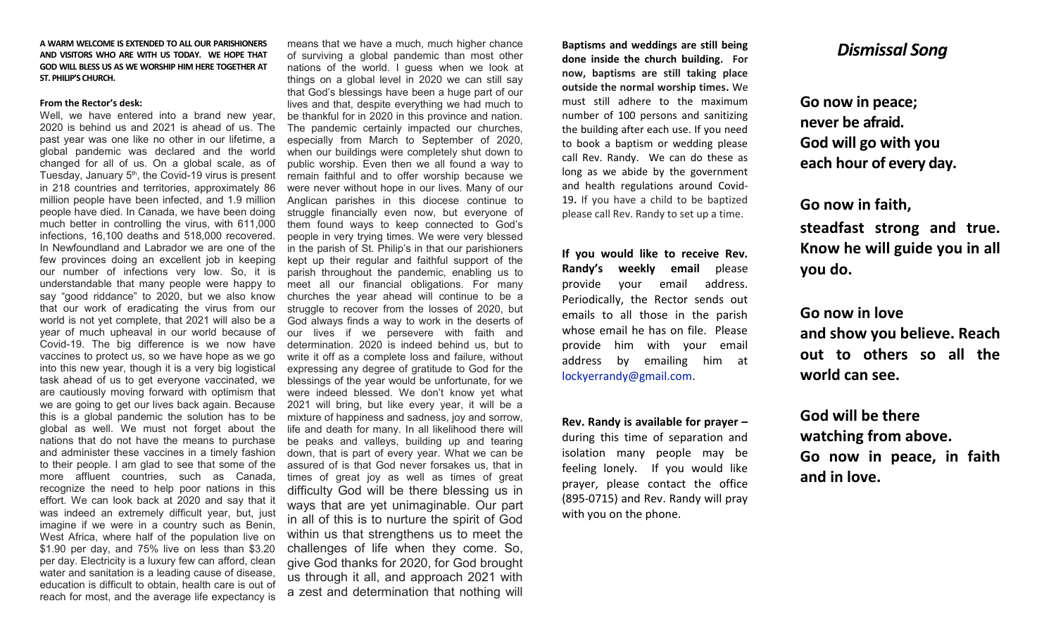### **A WARM WELCOME IS EXTENDED TO ALL OUR PARISHIONERS AND VISITORS WHO ARE WITH US TODAY. WE HOPE THAT GOD WILL BLESS US AS WE WORSHIP HIM HERE TOGETHER AT ST. PHILIP'S CHURCH.**

#### **From the Rector's desk:**

Well, we have entered into a brand new year, 2020 is behind us and 2021 is ahead of us. The past year was one like no other in our lifetime, a global pandemic was declared and the world changed for all of us. On a global scale, as of Tuesday, January  $5<sup>th</sup>$ , the Covid-19 virus is present in 218 countries and territories, approximately 86 million people have been infected, and 1.9 million people have died. In Canada, we have been doing much better in controlling the virus, with 611,000 infections, 16,100 deaths and 518,000 recovered. In Newfoundland and Labrador we are one of the few provinces doing an excellent job in keeping our number of infections very low. So, it is understandable that many people were happy to say "good riddance" to 2020, but we also know that our work of eradicating the virus from our world is not yet complete, that 2021 will also be a year of much upheaval in our world because of Covid-19. The big difference is we now have vaccines to protect us, so we have hope as we go into this new year, though it is a very big logistical task ahead of us to get everyone vaccinated, we are cautiously moving forward with optimism that we are going to get our lives back again. Because this is a global pandemic the solution has to be global as well. We must not forget about the nations that do not have the means to purchase and administer these vaccines in a timely fashion to their people. I am glad to see that some of the more affluent countries, such as Canada, recognize the need to help poor nations in this effort. We can look back at 2020 and say that it was indeed an extremely difficult year, but, just imagine if we were in a country such as Benin, West Africa, where half of the population live on \$1.90 per day, and 75% live on less than \$3.20 per day. Electricity is a luxury few can afford, clean water and sanitation is a leading cause of disease, education is difficult to obtain, health care is out of reach for most, and the average life expectancy is

means that we have a much, much higher chance of surviving a global pandemic than most other nations of the world. I guess when we look at things on a global level in 2020 we can still say that God's blessings have been a huge part of our lives and that, despite everything we had much to be thankful for in 2020 in this province and nation. The pandemic certainly impacted our churches, especially from March to September of 2020, when our buildings were completely shut down to public worship. Even then we all found a way to remain faithful and to offer worship because we were never without hope in our lives. Many of our Anglican parishes in this diocese continue to struggle financially even now, but everyone of them found ways to keep connected to God's people in very trying times. We were very blessed in the parish of St. Philip's in that our parishioners kept up their regular and faithful support of the parish throughout the pandemic, enabling us to meet all our financial obligations. For many churches the year ahead will continue to be a struggle to recover from the losses of 2020, but God always finds a way to work in the deserts of our lives if we persevere with faith and determination. 2020 is indeed behind us, but to write it off as a complete loss and failure, without expressing any degree of gratitude to God for the blessings of the year would be unfortunate, for we were indeed blessed. We don't know yet what 2021 will bring, but like every year, it will be a mixture of happiness and sadness, joy and sorrow, life and death for many. In all likelihood there will be peaks and valleys, building up and tearing down, that is part of every year. What we can be assured of is that God never forsakes us, that in times of great joy as well as times of great difficulty God will be there blessing us in ways that are yet unimaginable. Our part in all of this is to nurture the spirit of God within us that strengthens us to meet the challenges of life when they come. So, give God thanks for 2020, for God brought us through it all, and approach 2021 with a zest and determination that nothing will

**Baptisms and weddings are still being done inside the church building. For now, baptisms are still taking place outside the normal worship times.** We must still adhere to the maximum number of 100 persons and sanitizing the building after each use. If you need to book a baptism or wedding please call Rev. Randy. We can do these as long as we abide by the government and health regulations around Covid-19**.** If you have a child to be baptized please call Rev. Randy to set up a time.

**If you would like to receive Rev. Randy's weekly email** please provide your email address. Periodically, the Rector sends out emails to all those in the parish whose email he has on file. Please provide him with your email address by emailing him at [lockyerrandy@gmail.com.](mailto:lockyerrandy@gmail.com)

**Rev. Randy is available for prayer –** during this time of separation and isolation many people may be feeling lonely. If you would like prayer, please contact the office (895-0715) and Rev. Randy will pray with you on the phone.

# *Dismissal Song*

**Go now in peace; never be afraid. God will go with you each hour of every day.**

**Go now in faith, steadfast strong and true. Know he will guide you in all you do.**

**Go now in love and show you believe. Reach out to others so all the world can see.**

**God will be there watching from above. Go now in peace, in faith and in love.**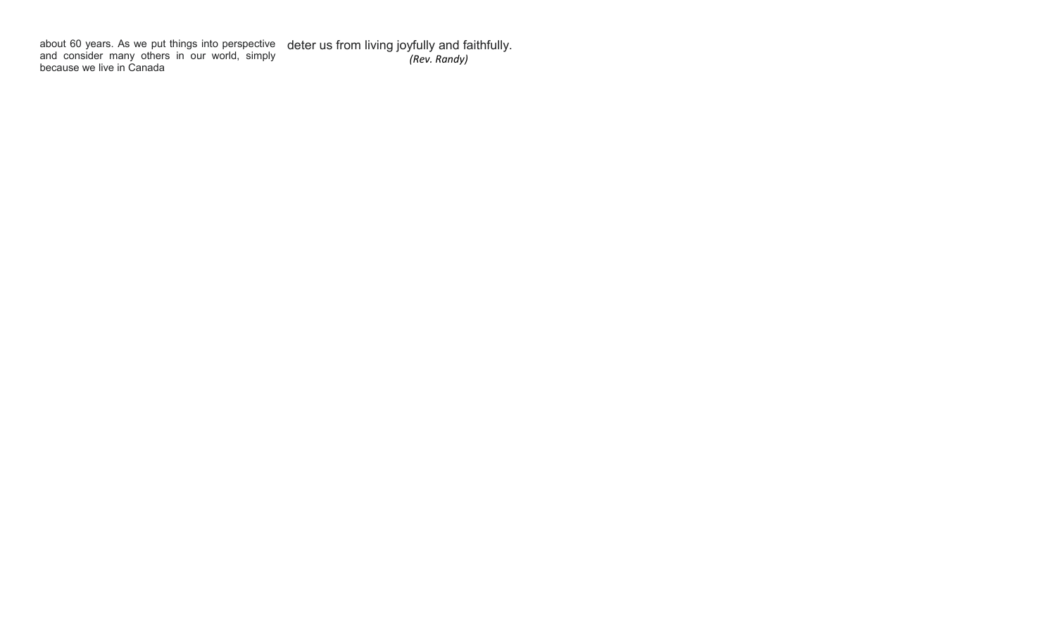about 60 years. As we put things into perspective and consider many others in our world, simply because we live in Canada deter us from living joyfully and faithfully. *(Rev. Randy)*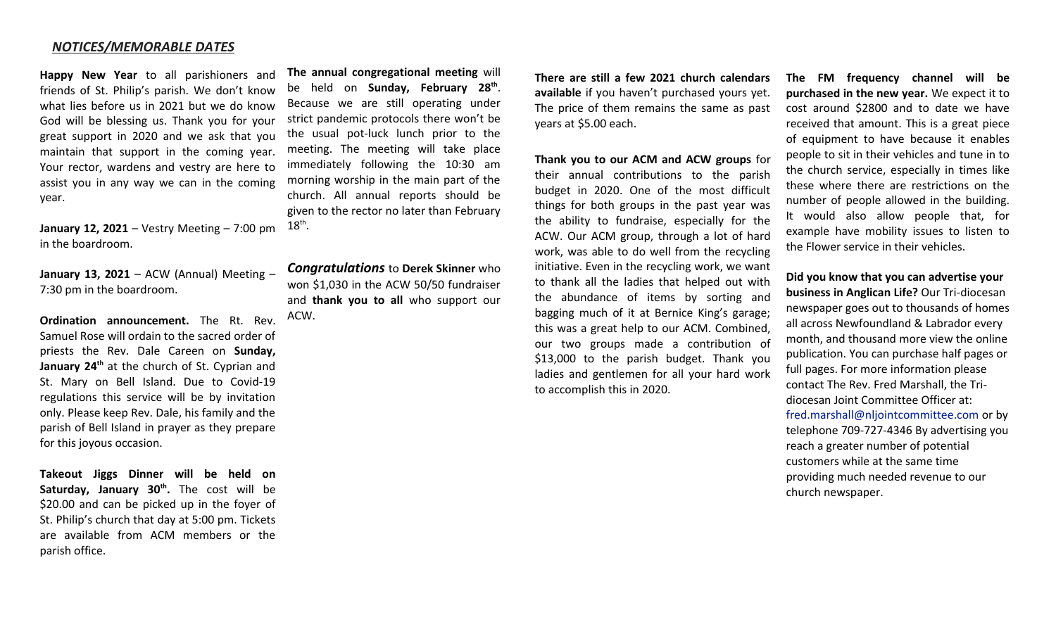## *NOTICES/MEMORABLE DATES*

**Happy New Year** to all parishioners and friends of St. Philip's parish. We don't know what lies before us in 2021 but we do know God will be blessing us. Thank you for your great support in 2020 and we ask that you maintain that support in the coming year. Your rector, wardens and vestry are here to assist you in any way we can in the coming year.

**January 12, 2021** – Vestry Meeting – 7:00 pm  $18^{th}$ . in the boardroom.

**January 13, 2021** – ACW (Annual) Meeting – 7:30 pm in the boardroom.

**Ordination announcement.** The Rt. Rev. Samuel Rose will ordain to the sacred order of priests the Rev. Dale Careen on **Sunday, January 24th** at the church of St. Cyprian and St. Mary on Bell Island. Due to Covid-19 regulations this service will be by invitation only. Please keep Rev. Dale, his family and the parish of Bell Island in prayer as they prepare for this joyous occasion.

**Takeout Jiggs Dinner will be held on Saturday, January 30th .** The cost will be \$20.00 and can be picked up in the foyer of St. Philip's church that day at 5:00 pm. Tickets are available from ACM members or the parish office.

**The annual congregational meeting** will be held on **Sunday, February 28th** . Because we are still operating under strict pandemic protocols there won't be the usual pot-luck lunch prior to the meeting. The meeting will take place immediately following the 10:30 am morning worship in the main part of the church. All annual reports should be given to the rector no later than February

*Congratulations* to **Derek Skinner** who won \$1,030 in the ACW 50/50 fundraiser and **thank you to all** who support our ACW.

**There are still a few 2021 church calendars available** if you haven't purchased yours yet. The price of them remains the same as past years at \$5.00 each.

**Thank you to our ACM and ACW groups** for their annual contributions to the parish budget in 2020. One of the most difficult things for both groups in the past year was the ability to fundraise, especially for the ACW. Our ACM group, through a lot of hard work, was able to do well from the recycling initiative. Even in the recycling work, we want to thank all the ladies that helped out with the abundance of items by sorting and bagging much of it at Bernice King's garage; this was a great help to our ACM. Combined, our two groups made a contribution of \$13,000 to the parish budget. Thank you ladies and gentlemen for all your hard work to accomplish this in 2020.

**The FM frequency channel will be purchased in the new year.** We expect it to cost around \$2800 and to date we have received that amount. This is a great piece of equipment to have because it enables people to sit in their vehicles and tune in to the church service, especially in times like these where there are restrictions on the number of people allowed in the building. It would also allow people that, for example have mobility issues to listen to the Flower service in their vehicles.

**Did you know that you can advertise your business in Anglican Life?** Our Tri-diocesan newspaper goes out to thousands of homes all across Newfoundland & Labrador every month, and thousand more view the online publication. You can purchase half pages or full pages. For more information please contact The Rev. Fred Marshall, the Tridiocesan Joint Committee Officer at: [fred.marshall@nljointcommittee.com](mailto:fred.marshall@nljointcommittee.com) or by telephone 709-727-4346 By advertising you reach a greater number of potential customers while at the same time providing much needed revenue to our church newspaper.